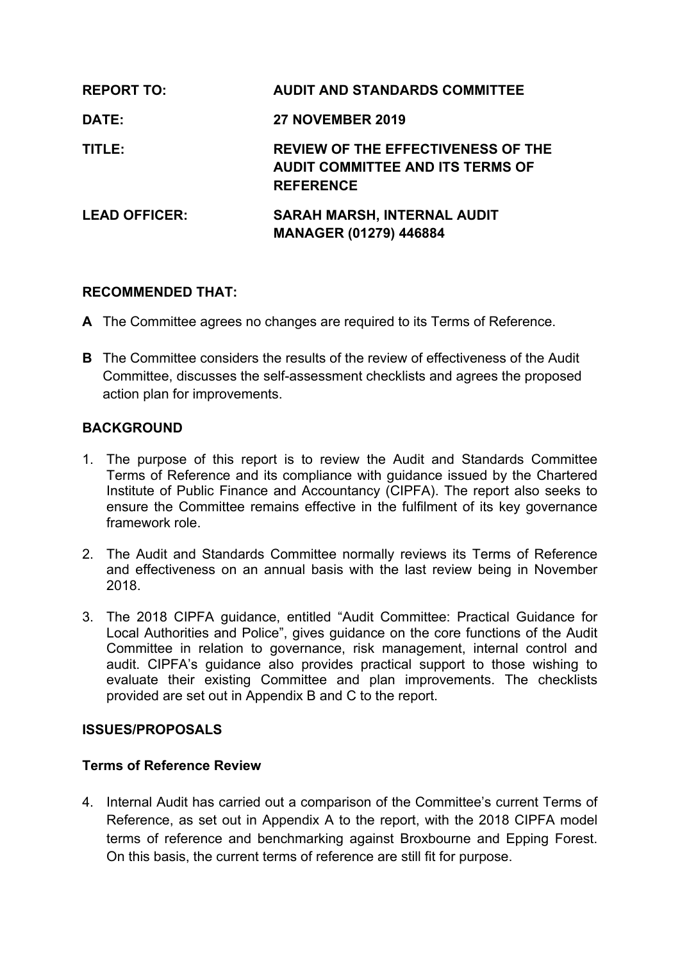| <b>REPORT TO:</b>    | <b>AUDIT AND STANDARDS COMMITTEE</b>                                                                     |
|----------------------|----------------------------------------------------------------------------------------------------------|
| <b>DATE:</b>         | <b>27 NOVEMBER 2019</b>                                                                                  |
| TITLE:               | <b>REVIEW OF THE EFFECTIVENESS OF THE</b><br><b>AUDIT COMMITTEE AND ITS TERMS OF</b><br><b>REFERENCE</b> |
| <b>LEAD OFFICER:</b> | <b>SARAH MARSH, INTERNAL AUDIT</b><br><b>MANAGER (01279) 446884</b>                                      |

### **RECOMMENDED THAT:**

- **A** The Committee agrees no changes are required to its Terms of Reference.
- **B** The Committee considers the results of the review of effectiveness of the Audit Committee, discusses the self-assessment checklists and agrees the proposed action plan for improvements.

### **BACKGROUND**

- 1. The purpose of this report is to review the Audit and Standards Committee Terms of Reference and its compliance with guidance issued by the Chartered Institute of Public Finance and Accountancy (CIPFA). The report also seeks to ensure the Committee remains effective in the fulfilment of its key governance framework role.
- 2. The Audit and Standards Committee normally reviews its Terms of Reference and effectiveness on an annual basis with the last review being in November 2018.
- 3. The 2018 CIPFA guidance, entitled "Audit Committee: Practical Guidance for Local Authorities and Police", gives guidance on the core functions of the Audit Committee in relation to governance, risk management, internal control and audit. CIPFA's guidance also provides practical support to those wishing to evaluate their existing Committee and plan improvements. The checklists provided are set out in Appendix B and C to the report.

#### **ISSUES/PROPOSALS**

#### **Terms of Reference Review**

4. Internal Audit has carried out a comparison of the Committee's current Terms of Reference, as set out in Appendix A to the report, with the 2018 CIPFA model terms of reference and benchmarking against Broxbourne and Epping Forest. On this basis, the current terms of reference are still fit for purpose.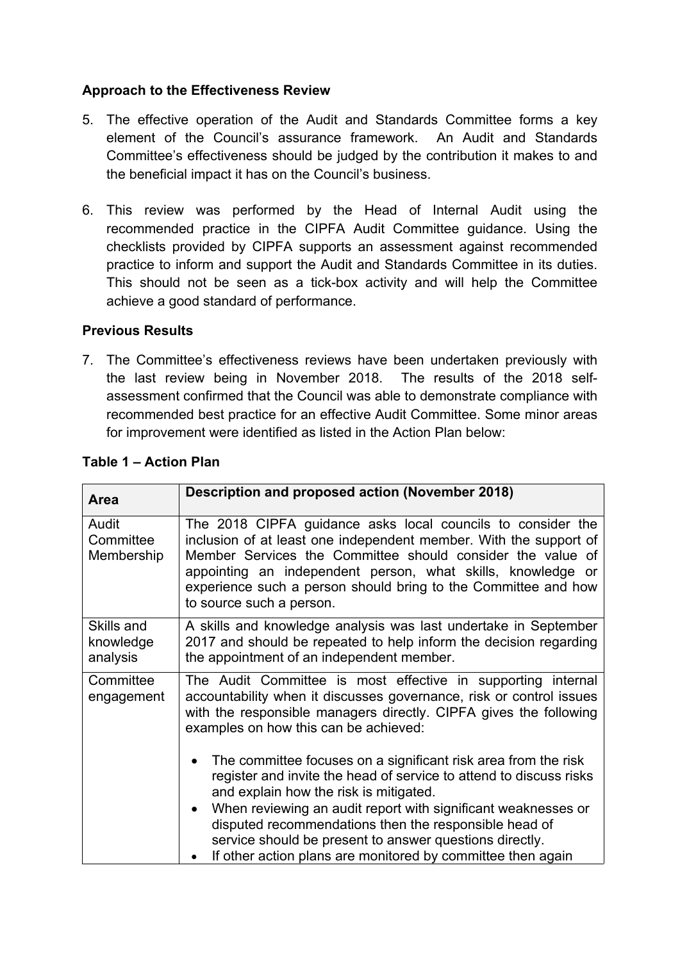## **Approach to the Effectiveness Review**

- 5. The effective operation of the Audit and Standards Committee forms a key element of the Council's assurance framework. An Audit and Standards Committee's effectiveness should be judged by the contribution it makes to and the beneficial impact it has on the Council's business.
- 6. This review was performed by the Head of Internal Audit using the recommended practice in the CIPFA Audit Committee guidance. Using the checklists provided by CIPFA supports an assessment against recommended practice to inform and support the Audit and Standards Committee in its duties. This should not be seen as a tick-box activity and will help the Committee achieve a good standard of performance.

### **Previous Results**

7. The Committee's effectiveness reviews have been undertaken previously with the last review being in November 2018. The results of the 2018 selfassessment confirmed that the Council was able to demonstrate compliance with recommended best practice for an effective Audit Committee. Some minor areas for improvement were identified as listed in the Action Plan below:

| <b>Area</b>                         | Description and proposed action (November 2018)                                                                                                                                                                                                                                                                                                             |
|-------------------------------------|-------------------------------------------------------------------------------------------------------------------------------------------------------------------------------------------------------------------------------------------------------------------------------------------------------------------------------------------------------------|
| Audit<br>Committee<br>Membership    | The 2018 CIPFA guidance asks local councils to consider the<br>inclusion of at least one independent member. With the support of<br>Member Services the Committee should consider the value of<br>appointing an independent person, what skills, knowledge or<br>experience such a person should bring to the Committee and how<br>to source such a person. |
| Skills and<br>knowledge<br>analysis | A skills and knowledge analysis was last undertake in September<br>2017 and should be repeated to help inform the decision regarding<br>the appointment of an independent member.                                                                                                                                                                           |
| Committee<br>engagement             | The Audit Committee is most effective in supporting internal<br>accountability when it discusses governance, risk or control issues<br>with the responsible managers directly. CIPFA gives the following<br>examples on how this can be achieved:                                                                                                           |
|                                     | The committee focuses on a significant risk area from the risk<br>register and invite the head of service to attend to discuss risks<br>and explain how the risk is mitigated.                                                                                                                                                                              |
|                                     | When reviewing an audit report with significant weaknesses or<br>disputed recommendations then the responsible head of<br>service should be present to answer questions directly.<br>If other action plans are monitored by committee then again                                                                                                            |

# **Table 1 – Action Plan**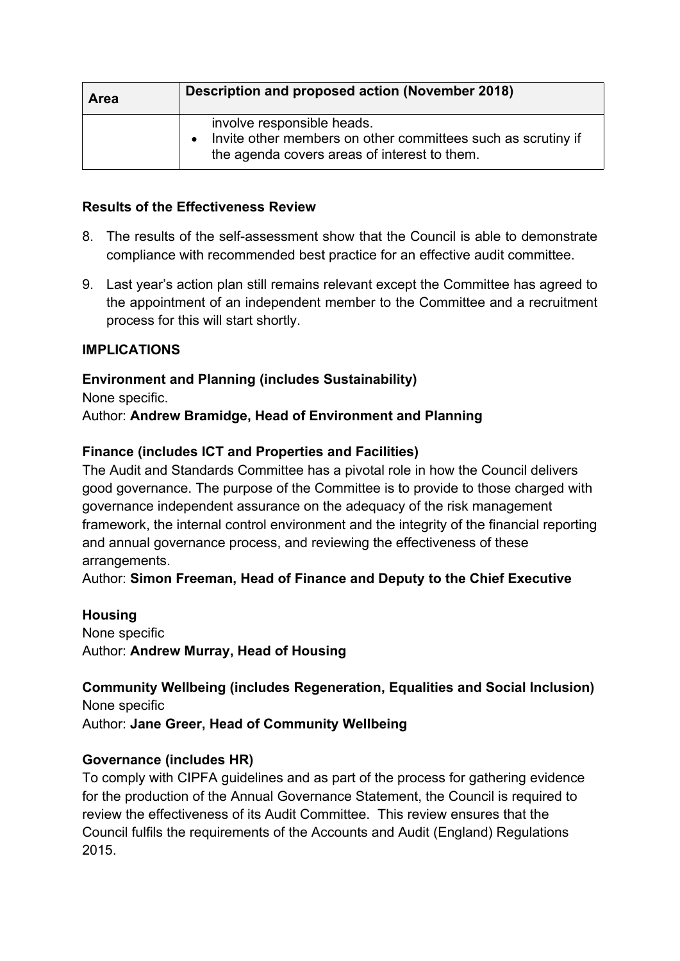| Area | Description and proposed action (November 2018)                                                                                            |
|------|--------------------------------------------------------------------------------------------------------------------------------------------|
|      | involve responsible heads.<br>Invite other members on other committees such as scrutiny if<br>the agenda covers areas of interest to them. |

### **Results of the Effectiveness Review**

- 8. The results of the self-assessment show that the Council is able to demonstrate compliance with recommended best practice for an effective audit committee.
- 9. Last year's action plan still remains relevant except the Committee has agreed to the appointment of an independent member to the Committee and a recruitment process for this will start shortly.

## **IMPLICATIONS**

# **Environment and Planning (includes Sustainability)**

None specific.

Author: **Andrew Bramidge, Head of Environment and Planning**

### **Finance (includes ICT and Properties and Facilities)**

The Audit and Standards Committee has a pivotal role in how the Council delivers good governance. The purpose of the Committee is to provide to those charged with governance independent assurance on the adequacy of the risk management framework, the internal control environment and the integrity of the financial reporting and annual governance process, and reviewing the effectiveness of these arrangements.

Author: **Simon Freeman, Head of Finance and Deputy to the Chief Executive**

**Housing** None specific Author: **Andrew Murray, Head of Housing**

**Community Wellbeing (includes Regeneration, Equalities and Social Inclusion)** None specific

Author: **Jane Greer, Head of Community Wellbeing**

## **Governance (includes HR)**

To comply with CIPFA guidelines and as part of the process for gathering evidence for the production of the Annual Governance Statement, the Council is required to review the effectiveness of its Audit Committee. This review ensures that the Council fulfils the requirements of the Accounts and Audit (England) Regulations 2015.